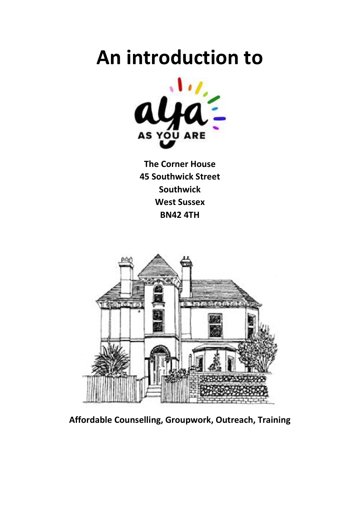# An introduction to



The Corner House 45 Southwick Street Southwick West Sussex BN42 4TH



Affordable Counselling, Groupwork, Outreach, Training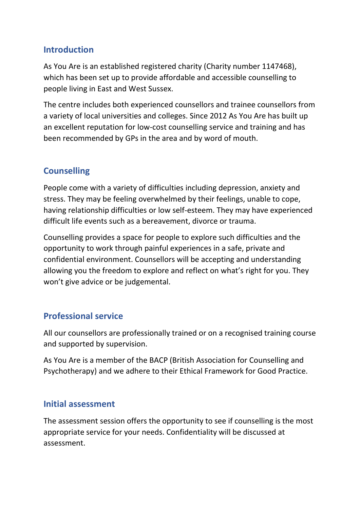#### Introduction

As You Are is an established registered charity (Charity number 1147468), which has been set up to provide affordable and accessible counselling to people living in East and West Sussex.

The centre includes both experienced counsellors and trainee counsellors from a variety of local universities and colleges. Since 2012 As You Are has built up an excellent reputation for low-cost counselling service and training and has been recommended by GPs in the area and by word of mouth.

## **Counselling**

People come with a variety of difficulties including depression, anxiety and stress. They may be feeling overwhelmed by their feelings, unable to cope, having relationship difficulties or low self-esteem. They may have experienced difficult life events such as a bereavement, divorce or trauma.

Counselling provides a space for people to explore such difficulties and the opportunity to work through painful experiences in a safe, private and confidential environment. Counsellors will be accepting and understanding allowing you the freedom to explore and reflect on what's right for you. They won't give advice or be judgemental.

#### Professional service

All our counsellors are professionally trained or on a recognised training course and supported by supervision.

As You Are is a member of the BACP (British Association for Counselling and Psychotherapy) and we adhere to their Ethical Framework for Good Practice.

#### Initial assessment

The assessment session offers the opportunity to see if counselling is the most appropriate service for your needs. Confidentiality will be discussed at assessment.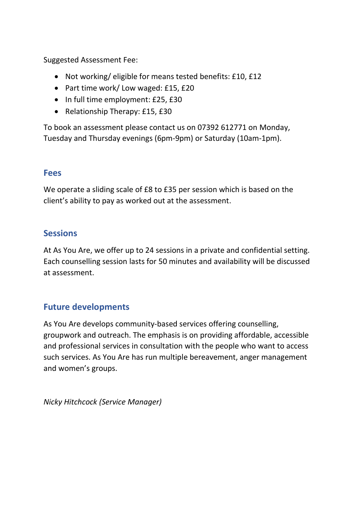Suggested Assessment Fee:

- Not working/ eligible for means tested benefits: £10, £12
- Part time work/ Low waged: £15, £20
- In full time employment: £25, £30
- Relationship Therapy: £15, £30

To book an assessment please contact us on 07392 612771 on Monday, Tuesday and Thursday evenings (6pm-9pm) or Saturday (10am-1pm).

#### Fees

We operate a sliding scale of £8 to £35 per session which is based on the client's ability to pay as worked out at the assessment.

### **Sessions**

At As You Are, we offer up to 24 sessions in a private and confidential setting. Each counselling session lasts for 50 minutes and availability will be discussed at assessment.

## Future developments

As You Are develops community-based services offering counselling, groupwork and outreach. The emphasis is on providing affordable, accessible and professional services in consultation with the people who want to access such services. As You Are has run multiple bereavement, anger management and women's groups.

Nicky Hitchcock (Service Manager)